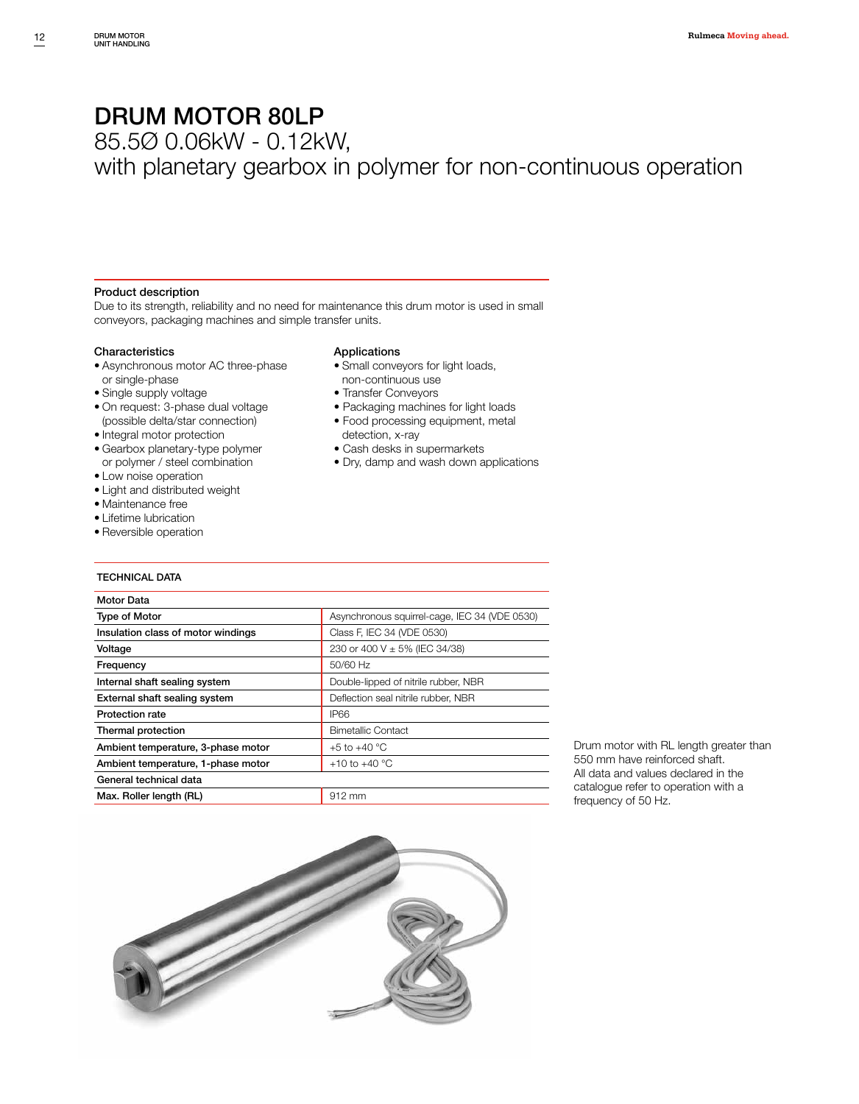85.5Ø 0.06kW - 0.12kW,

with planetary gearbox in polymer for non-continuous operation

#### Product description

Due to its strength, reliability and no need for maintenance this drum motor is used in small conveyors, packaging machines and simple transfer units.

#### Characteristics

- Asynchronous motor AC three-phase or single-phase
- Single supply voltage
- On request: 3-phase dual voltage
- (possible delta/star connection)
- Integral motor protection
- Gearbox planetary-type polymer or polymer / steel combination
- Low noise operation
- Light and distributed weight
- Maintenance free
- Lifetime lubrication
- Reversible operation

#### TECHNICAL DATA

#### Applications

- Small conveyors for light loads, non-continuous use
- Transfer Conveyors
- Packaging machines for light loads
- Food processing equipment, metal
- detection, x-ray
- Cash desks in supermarkets
- Dry, damp and wash down applications

| <b>Motor Data</b>                  |                                               |
|------------------------------------|-----------------------------------------------|
| <b>Type of Motor</b>               | Asynchronous squirrel-cage, IEC 34 (VDE 0530) |
| Insulation class of motor windings | Class F, IEC 34 (VDE 0530)                    |
| Voltage                            | 230 or 400 V ± 5% (IEC 34/38)                 |
| Frequency                          | 50/60 Hz                                      |
| Internal shaft sealing system      | Double-lipped of nitrile rubber, NBR          |
| External shaft sealing system      | Deflection seal nitrile rubber, NBR           |
| <b>Protection rate</b>             | <b>IP66</b>                                   |
| Thermal protection                 | <b>Bimetallic Contact</b>                     |
| Ambient temperature, 3-phase motor | +5 to +40 $^{\circ}$ C                        |
| Ambient temperature, 1-phase motor | +10 to +40 $^{\circ}$ C                       |
| General technical data             |                                               |
| Max. Roller length (RL)            | 912 mm                                        |

Drum motor with RL length greater than 550 mm have reinforced shaft. All data and values declared in the catalogue refer to operation with a frequency of 50 Hz.

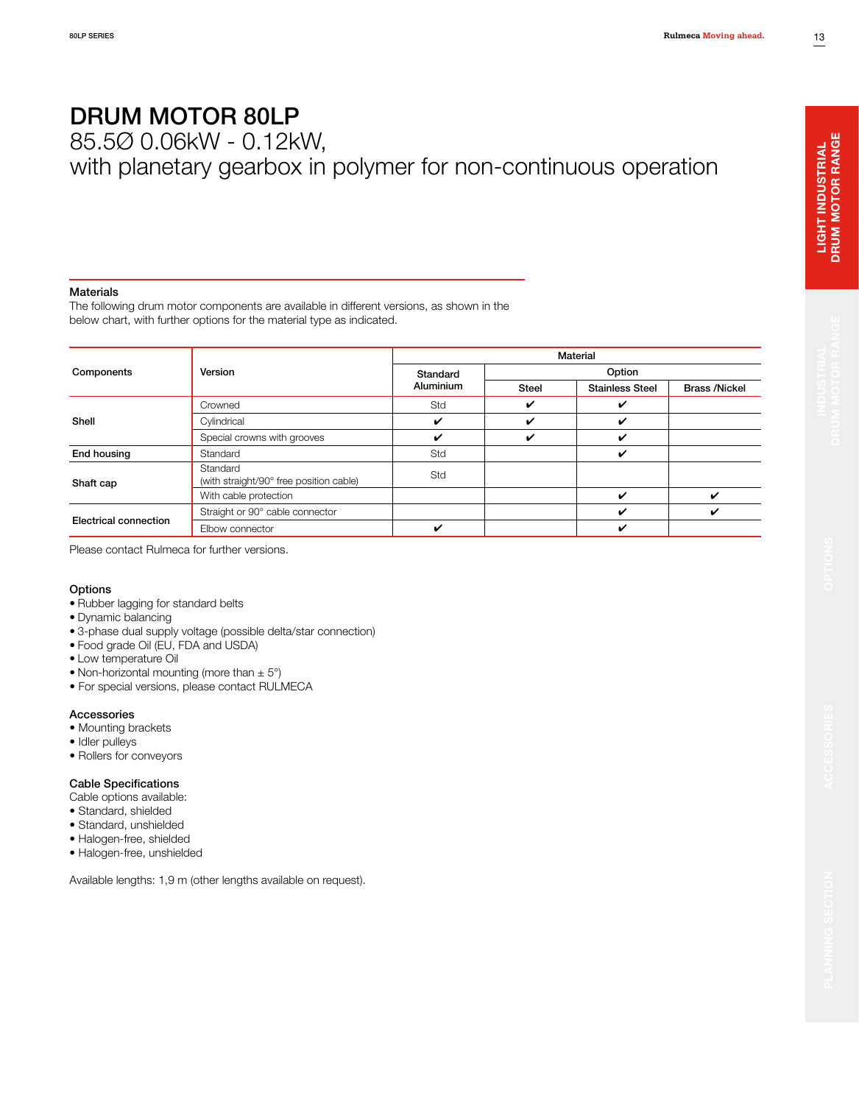85.5Ø 0.06kW - 0.12kW,

# with planetary gearbox in polymer for non-continuous operation

#### Materials

The following drum motor components are available in different versions, as shown in the below chart, with further options for the material type as indicated.

|                       | Version<br>Crowned<br>Cylindrical<br>Special crowns with grooves<br>Standard<br>Standard<br>(with straight/90° free position cable)<br>With cable protection<br>Straight or 90° cable connector | Material                       |                                                                                          |  |                      |  |  |  |  |  |
|-----------------------|-------------------------------------------------------------------------------------------------------------------------------------------------------------------------------------------------|--------------------------------|------------------------------------------------------------------------------------------|--|----------------------|--|--|--|--|--|
| Components            |                                                                                                                                                                                                 | Standard                       | Option<br><b>Steel</b><br><b>Stainless Steel</b><br>✓<br>✔<br>ັ<br>✔<br>✓<br>✓<br>✓<br>✔ |  |                      |  |  |  |  |  |
|                       |                                                                                                                                                                                                 | Aluminium                      |                                                                                          |  | <b>Brass /Nickel</b> |  |  |  |  |  |
|                       |                                                                                                                                                                                                 | Std                            |                                                                                          |  |                      |  |  |  |  |  |
| Shell                 |                                                                                                                                                                                                 | ✓                              |                                                                                          |  |                      |  |  |  |  |  |
|                       |                                                                                                                                                                                                 | ✓<br>Std<br>Std<br>ັ<br>✔<br>✔ |                                                                                          |  |                      |  |  |  |  |  |
| End housing           |                                                                                                                                                                                                 |                                |                                                                                          |  |                      |  |  |  |  |  |
| Shaft cap             |                                                                                                                                                                                                 |                                |                                                                                          |  |                      |  |  |  |  |  |
|                       |                                                                                                                                                                                                 |                                |                                                                                          |  |                      |  |  |  |  |  |
| Electrical connection |                                                                                                                                                                                                 |                                |                                                                                          |  |                      |  |  |  |  |  |
|                       | Elbow connector                                                                                                                                                                                 |                                |                                                                                          |  |                      |  |  |  |  |  |

Please contact Rulmeca for further versions.

### **Options**

- Rubber lagging for standard belts
- Dynamic balancing
- 3-phase dual supply voltage (possible delta/star connection)
- Food grade Oil (EU, FDA and USDA)
- Low temperature Oil
- Non-horizontal mounting (more than  $\pm$  5°)
- For special versions, please contact RULMECA

#### Accessories

- Mounting brackets
- Idler pulleys
- Rollers for conveyors

#### Cable Specifications

- Cable options available:
- Standard, shielded
- Standard, unshielded
- Halogen-free, shielded
- Halogen-free, unshielded

Available lengths: 1,9 m (other lengths available on request).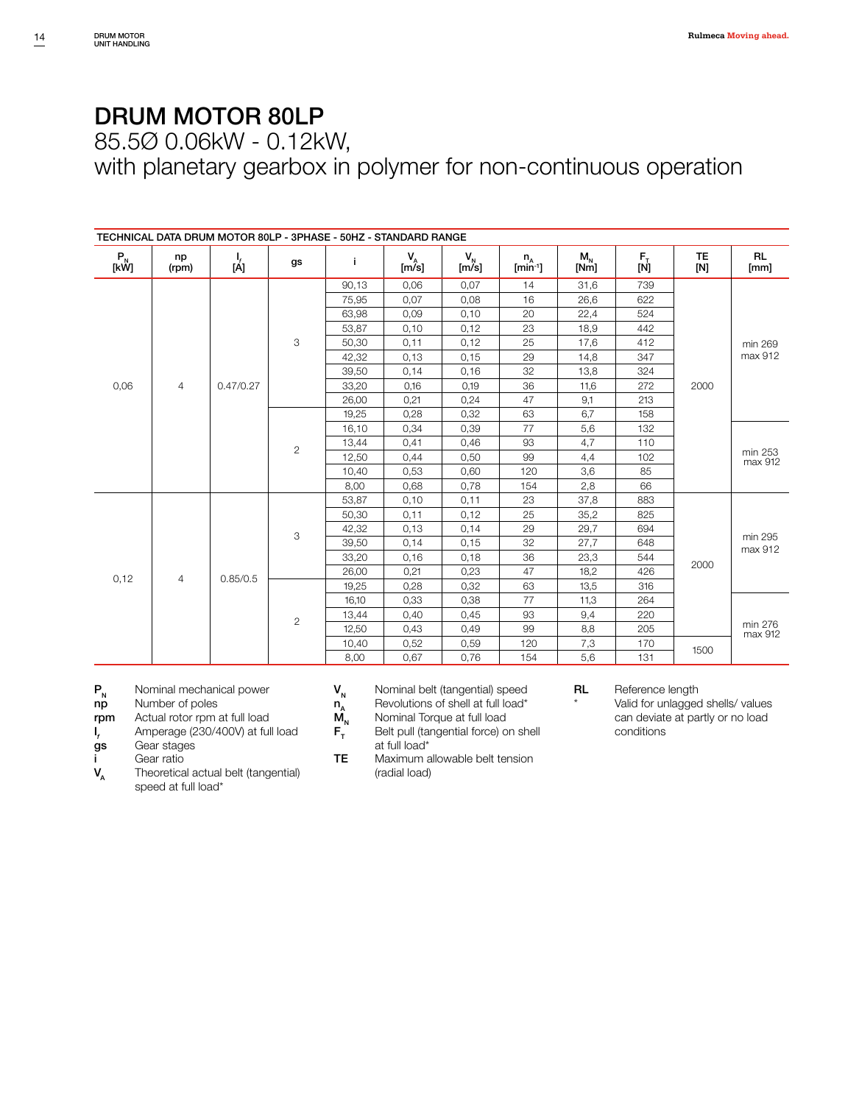85.5Ø 0.06kW - 0.12kW,

with planetary gearbox in polymer for non-continuous operation

|                                                    |             | TECHNICAL DATA DRUM MOTOR 80LP - 3PHASE - 50HZ - STANDARD RANGE |                |       |                         |                  |                       |                                    |                                                                        |                    |                    |
|----------------------------------------------------|-------------|-----------------------------------------------------------------|----------------|-------|-------------------------|------------------|-----------------------|------------------------------------|------------------------------------------------------------------------|--------------------|--------------------|
| $\begin{bmatrix} P_N \\ \text{[kW]} \end{bmatrix}$ | np<br>(rpm) | Ι,<br>[Á]                                                       | gs             | j.    | $V_{\hat{m}}^{\dagger}$ | $V_{N}$<br>[m/s] | $n_A$<br>$[min^{-1}]$ | $\mathsf{M}_{_\mathsf{N}}$<br>[Nm] | $\begin{bmatrix} \mathsf{F}_{\mathsf{I}} \ \mathsf{[N]} \end{bmatrix}$ | <b>TE</b><br>[N]   | <b>RL</b><br>[mm]  |
|                                                    |             |                                                                 |                | 90,13 | 0,06                    | 0,07             | 14                    | 31,6                               | 739                                                                    |                    |                    |
|                                                    |             |                                                                 | 75,95          | 0,07  | 0,08                    | 16               | 26,6                  | 622                                |                                                                        |                    |                    |
|                                                    |             |                                                                 |                | 63,98 | 0,09                    | 0,10             | 20                    | 22,4                               | 524                                                                    |                    |                    |
|                                                    |             |                                                                 |                | 53,87 | 0,10                    | 0,12             | 23                    | 18,9                               | 442                                                                    |                    |                    |
|                                                    |             |                                                                 | 3              | 50,30 | 0,11                    | 0,12             | 25                    | 17,6                               | 412                                                                    |                    | min 269            |
|                                                    |             |                                                                 |                | 42,32 | 0,13                    | 0, 15            | 29                    | 14,8                               | 347                                                                    |                    | max 912            |
| 0,06<br>$\overline{4}$                             |             |                                                                 | 39,50          | 0,14  | 0,16                    | 32               | 13,8                  | 324                                | 2000                                                                   |                    |                    |
|                                                    | 0.47/0.27   |                                                                 | 33,20          | 0,16  | 0,19                    | 36               | 11,6                  | 272                                |                                                                        |                    |                    |
|                                                    |             |                                                                 | 26,00          | 0,21  | 0,24                    | 47               | 9,1                   | 213                                |                                                                        |                    |                    |
|                                                    |             |                                                                 | 19,25          | 0,28  | 0,32                    | 63               | 6,7                   | 158                                |                                                                        |                    |                    |
|                                                    |             |                                                                 | 16,10          | 0,34  | 0,39                    | 77               | 5,6                   | 132                                |                                                                        |                    |                    |
|                                                    |             |                                                                 |                | 13,44 | 0,41                    | 0,46             | 93                    | 4,7                                | 110                                                                    |                    |                    |
|                                                    |             | $\overline{c}$                                                  | 12,50          | 0,44  | 0,50                    | 99               | 4,4                   | 102                                |                                                                        | min 253<br>max 912 |                    |
|                                                    |             |                                                                 | 10,40          | 0,53  | 0,60                    | 120              | 3,6                   | 85                                 |                                                                        |                    |                    |
|                                                    |             |                                                                 |                | 8.00  | 0,68                    | 0,78             | 154                   | 2,8                                | 66                                                                     |                    |                    |
|                                                    |             |                                                                 |                | 53,87 | 0,10                    | 0,11             | 23                    | 37,8                               | 883                                                                    |                    |                    |
|                                                    |             |                                                                 |                | 50,30 | 0,11                    | 0,12             | 25                    | 35,2                               | 825                                                                    |                    |                    |
|                                                    |             |                                                                 |                | 42,32 | 0,13                    | 0,14             | 29                    | 29,7                               | 694                                                                    |                    |                    |
|                                                    |             |                                                                 | 3              | 39,50 | 0,14                    | 0,15             | 32                    | 27,7                               | 648                                                                    |                    | min 295<br>max 912 |
|                                                    |             |                                                                 |                | 33,20 | 0,16                    | 0,18             | 36                    | 23,3                               | 544                                                                    |                    |                    |
|                                                    |             |                                                                 |                | 26,00 | 0,21                    | 0,23             | 47                    | 18,2                               | 426                                                                    | 2000               |                    |
| 0,12<br>$\overline{4}$                             | 0.85/0.5    |                                                                 | 19,25          | 0,28  | 0,32                    | 63               | 13,5                  | 316                                |                                                                        |                    |                    |
|                                                    |             |                                                                 | 16.10          | 0,33  | 0,38                    | 77               | 11,3                  | 264                                |                                                                        |                    |                    |
|                                                    |             |                                                                 | $\overline{2}$ | 13,44 | 0,40                    | 0,45             | 93                    | 9,4                                | 220                                                                    |                    |                    |
|                                                    |             |                                                                 |                | 12,50 | 0,43                    | 0,49             | 99                    | 8,8                                | 205                                                                    |                    | min 276<br>max 912 |
|                                                    |             |                                                                 | 10,40          | 0,52  | 0,59                    | 120              | 7,3                   | 170                                | 1500                                                                   |                    |                    |
|                                                    |             |                                                                 | 8,00           | 0.67  | 0,76                    | 154              | 5,6                   | 131                                |                                                                        |                    |                    |

 $P_N$  Nominal mechanical power<br> **np** Number of poles

Number of poles

rpm Actual rotor rpm at full load

 $I_{\epsilon}$ *f<sub>f</sub>* Amperage (230/400V) at full load **gs** Gear stages

Gear stages

 $V_A$  Gear ratio

Theoretical actual belt (tangential) speed at full load\*

 $V_N$  Nominal belt (tangential) speed<br>  $n_A$  Revolutions of shell at full load\*<br>  $M_N$  Nominal Torque at full load

Revolutions of shell at full load\*

 $M_N$  Nominal Torque at full load<br> $F_T$  Belt pull (tangential force) of Belt pull (tangential force) on shell at full load\*

TE Maximum allowable belt tension (radial load)

RL Reference length

Valid for unlagged shells/ values can deviate at partly or no load conditions

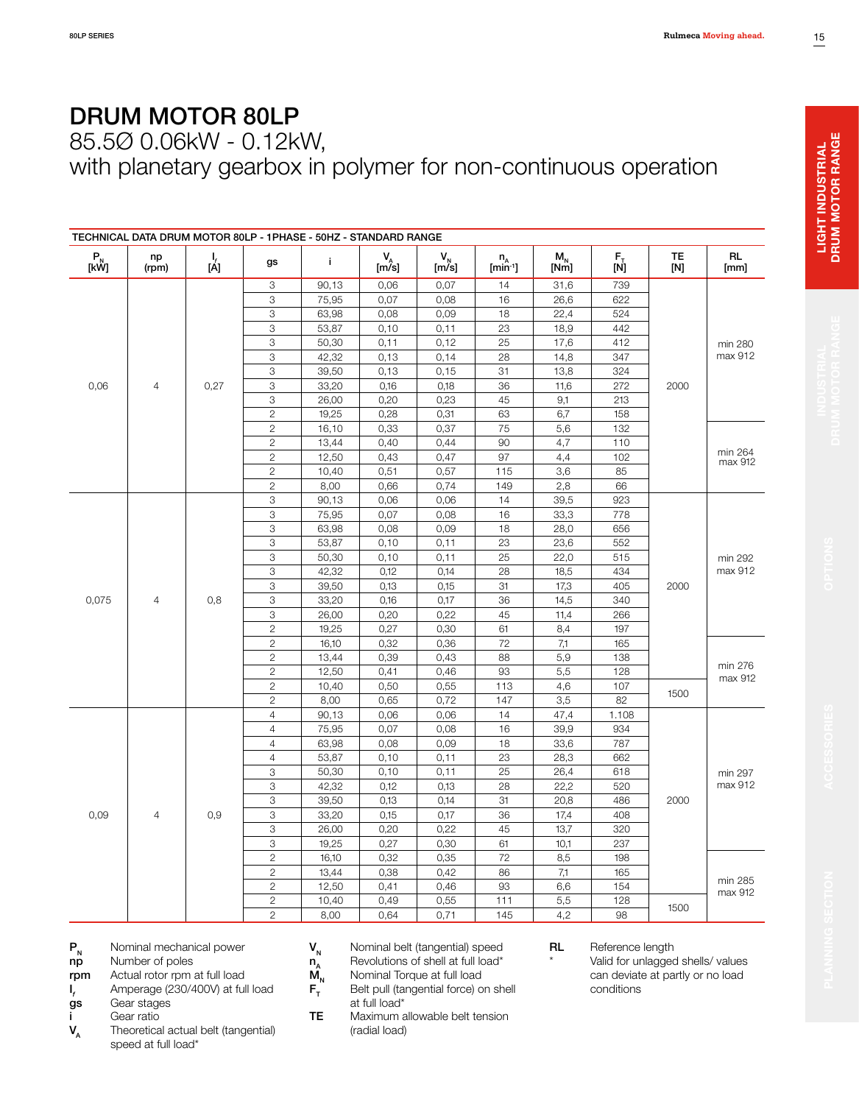85.5Ø 0.06kW - 0.12kW,

with planetary gearbox in polymer for non-continuous operation

|           |                                |                 |                | TECHNICAL DATA DRUM MOTOR 80LP - 1PHASE - 50HZ - STANDARD RANGE |               |               |                            |                 |                                                                     |           |                    |
|-----------|--------------------------------|-----------------|----------------|-----------------------------------------------------------------|---------------|---------------|----------------------------|-----------------|---------------------------------------------------------------------|-----------|--------------------|
| P<br>[kW] | np<br>(rpm)                    | $\frac{1}{[A]}$ | gs             | j.                                                              | $V_{A}$ [m/s] | $V_{N}$ [m/s] | $n_A$ [min <sup>-1</sup> ] | $M_{N}$<br>[Nm] | $\begin{bmatrix} \mathsf{F}_{\bar{1}} \ \mathsf{[N]} \end{bmatrix}$ | TE<br>[N] | <b>RL</b><br>[mm]  |
|           |                                |                 | 3              | 90,13                                                           | 0,06          | 0,07          | 14                         | 31,6            | 739                                                                 |           |                    |
|           |                                |                 | 3              | 75,95                                                           | 0,07          | 0,08          | 16                         | 26,6            | 622                                                                 |           |                    |
|           |                                | 3               | 63,98          | 0,08                                                            | 0,09          | 18            | 22,4                       | 524             |                                                                     |           |                    |
|           |                                | 3               | 53,87          | 0,10                                                            | 0,11          | 23            | 18,9                       | 442             |                                                                     |           |                    |
|           |                                | 3               | 50,30          | 0,11                                                            | 0,12          | 25            | 17,6                       | 412             |                                                                     | min 280   |                    |
|           |                                | 3               | 42,32          | 0,13                                                            | 0,14          | 28            | 14,8                       | 347             |                                                                     | max 912   |                    |
|           | 0,06<br>$\overline{4}$<br>0,27 |                 | 3              | 39,50                                                           | 0,13          | 0, 15         | 31                         | 13,8            | 324                                                                 |           |                    |
|           |                                | 3               | 33,20          | 0,16                                                            | 0,18          | 36            | 11,6                       | 272             | 2000                                                                |           |                    |
|           |                                | 3               | 26,00          | 0,20                                                            | 0,23          | 45            | 9,1                        | 213             |                                                                     |           |                    |
|           | $\overline{c}$                 | 19,25           | 0,28           | 0,31                                                            | 63            | 6,7           | 158                        |                 |                                                                     |           |                    |
|           |                                |                 | $\overline{c}$ | 16,10                                                           | 0,33          | 0,37          | 75                         | 5,6             | 132                                                                 |           |                    |
|           |                                |                 | $\overline{c}$ | 13,44                                                           | 0,40          | 0,44          | 90                         | 4,7             | 110                                                                 |           |                    |
|           |                                |                 | $\overline{c}$ | 12,50                                                           | 0,43          | 0,47          | 97                         | 4,4             | 102                                                                 |           | min 264<br>max 912 |
|           |                                | $\overline{c}$  | 10,40          | 0,51                                                            | 0,57          | 115           | 3,6                        | 85              |                                                                     |           |                    |
|           |                                | $\mathbf{2}$    | 8,00           | 0,66                                                            | 0,74          | 149           | 2,8                        | 66              |                                                                     |           |                    |
|           |                                |                 | 3              | 90,13                                                           | 0,06          | 0,06          | 14                         | 39,5            | 923                                                                 |           |                    |
|           | 3                              | 75,95           | 0,07           | 0,08                                                            | 16            | 33,3          | 778                        |                 |                                                                     |           |                    |
|           |                                | 3               | 63,98          | 0,08                                                            | 0,09          | 18            | 28,0                       | 656             |                                                                     |           |                    |
|           |                                | 3               | 53,87          | 0,10                                                            | 0,11          | 23            | 23,6                       | 552             |                                                                     |           |                    |
|           |                                |                 | 3              | 50,30                                                           | 0,10          | 0,11          | 25                         | 22,0            | 515                                                                 |           | min 292<br>max 912 |
|           |                                | 0,8             | 3              | 42,32                                                           | 0,12          | 0,14          | 28                         | 18,5            | 434                                                                 |           |                    |
|           |                                |                 | 3              | 39,50                                                           | 0,13          | 0,15          | 31                         | 17,3            | 405                                                                 | 2000      |                    |
| 0,075     | 4                              |                 | 3              | 33,20                                                           | 0,16          | 0,17          | 36                         | 14,5            | 340                                                                 |           |                    |
|           |                                |                 | 3              | 26,00                                                           | 0,20          | 0,22          | 45                         | 11,4            | 266                                                                 |           |                    |
|           |                                |                 | $\overline{c}$ | 19,25                                                           | 0,27          | 0,30          | 61                         | 8,4             | 197                                                                 |           |                    |
|           |                                |                 | $\overline{c}$ | 16,10                                                           | 0,32          | 0,36          | 72                         | 7,1             | 165                                                                 |           |                    |
|           |                                |                 | $\overline{c}$ | 13,44                                                           | 0,39          | 0,43          | 88                         | 5,9             | 138                                                                 |           |                    |
|           |                                |                 | $\overline{c}$ | 12,50                                                           | 0,41          | 0,46          | 93                         | 5,5             | 128                                                                 |           | min 276            |
|           |                                |                 | $\overline{c}$ | 10,40                                                           | 0,50          | 0,55          | 113                        | 4,6             | 107                                                                 |           | max 912            |
|           |                                |                 | $\overline{c}$ | 8,00                                                            | 0,65          | 0,72          | 147                        | 3,5             | 82                                                                  | 1500      |                    |
|           |                                |                 | $\overline{4}$ | 90,13                                                           | 0,06          | 0,06          | 14                         | 47,4            | 1.108                                                               |           |                    |
|           |                                |                 | $\overline{4}$ | 75,95                                                           | 0,07          | 0,08          | 16                         | 39,9            | 934                                                                 |           |                    |
|           |                                |                 | $\overline{4}$ | 63,98                                                           | 0,08          | 0,09          | 18                         | 33,6            | 787                                                                 |           |                    |
|           |                                |                 | $\sqrt{4}$     | 53,87                                                           | 0,10          | 0,11          | 23                         | 28,3            | 662                                                                 |           |                    |
|           |                                |                 | 3              | 50,30                                                           | 0,10          | 0,11          | 25                         | 26,4            | 618                                                                 |           | min 297            |
|           |                                |                 | 3              | 42,32                                                           | 0,12          | 0,13          | 28                         | 22,2            | 520                                                                 |           | max 912            |
|           |                                |                 | 3              | 39,50                                                           | 0,13          | 0,14          | 31                         | 20,8            | 486                                                                 | 2000      |                    |
| 0,09      | $\overline{4}$                 | 0,9             | 3              | 33,20                                                           | 0,15          | 0,17          | 36                         | 17,4            | 408                                                                 |           |                    |
|           |                                |                 | 3              | 26,00                                                           | 0,20          | 0,22          | 45                         | 13,7            | 320                                                                 |           |                    |
|           |                                |                 | 3              | 19,25                                                           | 0,27          | 0,30          | 61                         | 10,1            | 237                                                                 |           |                    |
|           |                                |                 | $\overline{c}$ | 16,10                                                           | 0,32          | 0,35          | 72                         | 8,5             | 198                                                                 |           |                    |
|           |                                |                 | $\overline{c}$ | 13,44                                                           | 0,38          | 0,42          | 86                         | 7,1             | 165                                                                 |           |                    |
|           |                                |                 | $\overline{c}$ | 12,50                                                           | 0,41          | 0,46          | 93                         | 6,6             | 154                                                                 |           | min 285            |
|           |                                |                 | $\overline{c}$ | 10,40                                                           | 0,49          | 0,55          | 111                        | 5,5             | 128                                                                 |           | max 912            |
|           |                                |                 | $\overline{c}$ | 8,00                                                            | 0,64          | 0,71          | 145                        | 4,2             | 98                                                                  | 1500      |                    |
|           |                                |                 |                |                                                                 |               |               |                            |                 |                                                                     |           |                    |

- Number of poles
- rpm Actual rotor rpm at full load
- $I_{\epsilon}$ *f<sub>f</sub>* Amperage (230/400V) at full load **gs** Gear stages Gear stages
- 
- i Gear ratio<br>V<sub>A</sub> Theoretica Theoretical actual belt (tangential) speed at full load\*
- $V_{N}$  Nominal belt (tangential) speed<br>  $n_{A}$  Revolutions of shell at full load\*
- $n_A^2$  Revolutions of shell at full load\*<br> $M_N$  Nominal Torque at full load
- $\mathbf{M}_{\mathsf{N}}$  Nominal Torque at full load<br> $\mathbf{F}_{\mathsf{T}}$  Belt pull (tangential force) o
	- Belt pull (tangential force) on shell at full load\*
- TE Maximum allowable belt tension (radial load)

RL Reference length

Valid for unlagged shells/ values can deviate at partly or no load conditions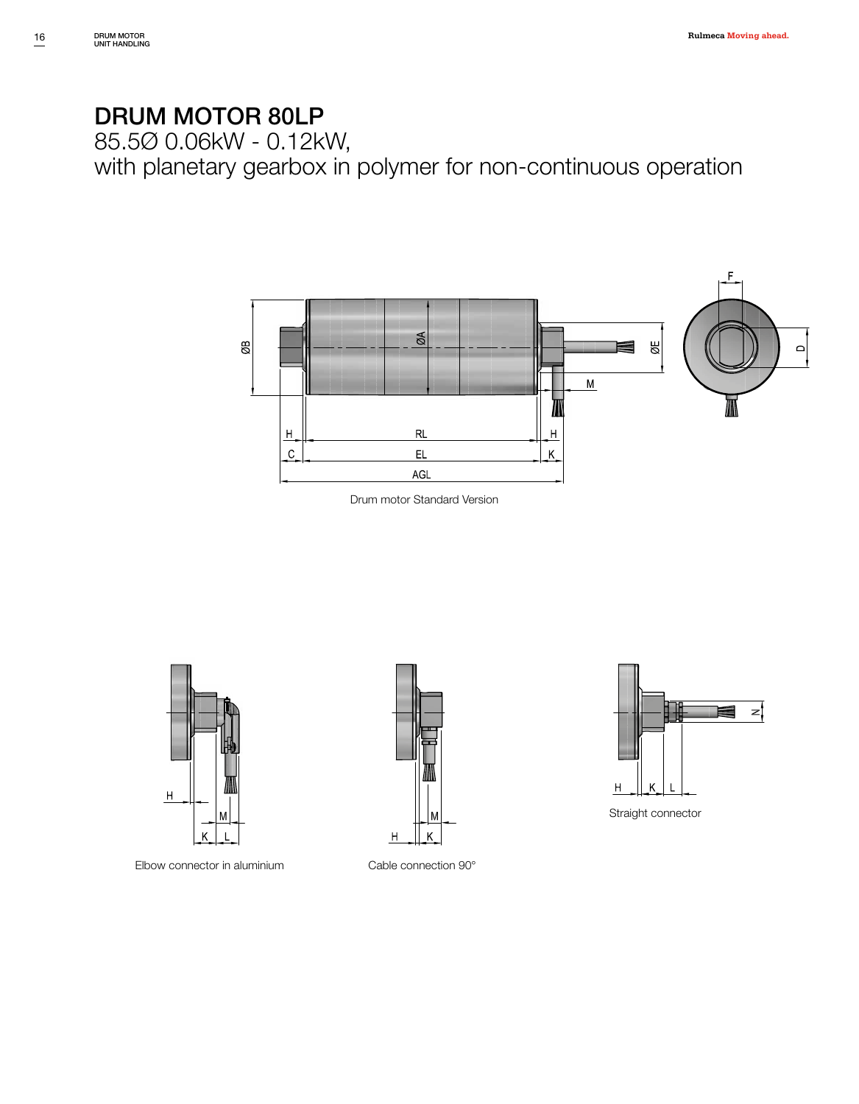85.5Ø 0.06kW - 0.12kW,

with planetary gearbox in polymer for non-continuous operation







Elbow connector in aluminium Cable connection 90°





Straight connector